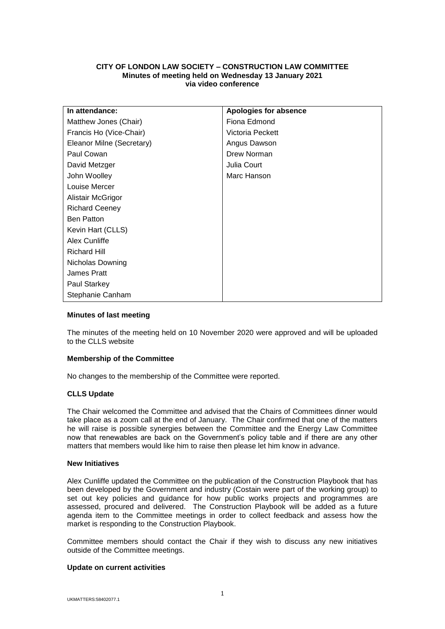# **CITY OF LONDON LAW SOCIETY – CONSTRUCTION LAW COMMITTEE Minutes of meeting held on Wednesday 13 January 2021 via video conference**

| In attendance:            | Apologies for absence |
|---------------------------|-----------------------|
| Matthew Jones (Chair)     | Fiona Edmond          |
| Francis Ho (Vice-Chair)   | Victoria Peckett      |
| Eleanor Milne (Secretary) | Angus Dawson          |
| Paul Cowan                | Drew Norman           |
| David Metzger             | Julia Court           |
| John Woolley              | Marc Hanson           |
| Louise Mercer             |                       |
| Alistair McGrigor         |                       |
| <b>Richard Ceeney</b>     |                       |
| <b>Ben Patton</b>         |                       |
| Kevin Hart (CLLS)         |                       |
| Alex Cunliffe             |                       |
| <b>Richard Hill</b>       |                       |
| Nicholas Downing          |                       |
| James Pratt               |                       |
| Paul Starkey              |                       |
| Stephanie Canham          |                       |

## **Minutes of last meeting**

The minutes of the meeting held on 10 November 2020 were approved and will be uploaded to the CLLS website

## **Membership of the Committee**

No changes to the membership of the Committee were reported.

## **CLLS Update**

The Chair welcomed the Committee and advised that the Chairs of Committees dinner would take place as a zoom call at the end of January. The Chair confirmed that one of the matters he will raise is possible synergies between the Committee and the Energy Law Committee now that renewables are back on the Government's policy table and if there are any other matters that members would like him to raise then please let him know in advance.

#### **New Initiatives**

Alex Cunliffe updated the Committee on the publication of the Construction Playbook that has been developed by the Government and industry (Costain were part of the working group) to set out key policies and guidance for how public works projects and programmes are assessed, procured and delivered. The Construction Playbook will be added as a future agenda item to the Committee meetings in order to collect feedback and assess how the market is responding to the Construction Playbook.

Committee members should contact the Chair if they wish to discuss any new initiatives outside of the Committee meetings.

### **Update on current activities**